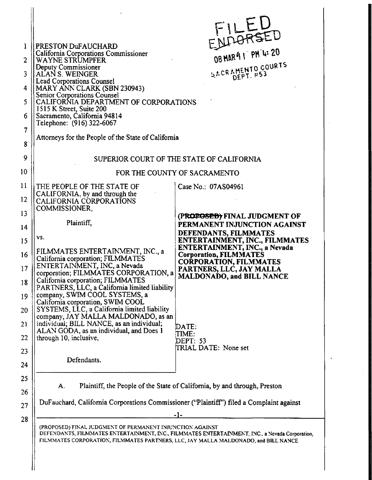|                |                                                                                                                                                  | ENDORSED                                                                                        |
|----------------|--------------------------------------------------------------------------------------------------------------------------------------------------|-------------------------------------------------------------------------------------------------|
| 1              | PRESTON DuFAUCHARD<br>California Corporations Commissioner                                                                                       |                                                                                                 |
| $\overline{2}$ | WAYNE STRUMPFER                                                                                                                                  |                                                                                                 |
| 3              | Deputy Commissioner<br>ALAN S. WEINGER                                                                                                           | SACRAMENTO COURTS<br><b>DEPT. #53</b>                                                           |
| 4              | <b>Lead Corporations Counsel</b><br>MARY ANN CLARK (SBN 230943)                                                                                  |                                                                                                 |
| 5              | Senior Corporations Counsel<br>CALIFORNIA DEPARTMENT OF CORPORATIONS                                                                             |                                                                                                 |
| 6              | 1515 K Street, Suite 200<br>Sacramento, California 94814                                                                                         |                                                                                                 |
|                | Telephone: (916) 322-6067                                                                                                                        |                                                                                                 |
| 7<br>8         | Attorneys for the People of the State of California                                                                                              |                                                                                                 |
|                |                                                                                                                                                  | SUPERIOR COURT OF THE STATE OF CALIFORNIA                                                       |
|                |                                                                                                                                                  | FOR THE COUNTY OF SACRAMENTO                                                                    |
|                | THE PEOPLE OF THE STATE OF                                                                                                                       | Case No.: 07AS04961                                                                             |
|                | CALIFORNIA, by and through the<br>CALIFORNIA CORPORATIONS<br>COMMISSIONER,                                                                       |                                                                                                 |
| 13             |                                                                                                                                                  | (PROPOSED) FINAL JUDGMENT OF                                                                    |
| 14             | Plaintiff,                                                                                                                                       | PERMANENT INJUNCTION AGAINST<br>DEFENDANTS, FILMMATES                                           |
| 15             | VS.                                                                                                                                              | <b>ENTERTAINMENT, INC., FILMMATES</b><br>ENTERTAINMENT, INC., a Nevada                          |
| 16             | FILMMATES ENTERTAINMENT, INC., a<br>California corporation; FILMMATES                                                                            | <b>Corporation, FILMMATES</b>                                                                   |
| 17             | ENTERTAINMENT, INC, a Nevada<br>corporation; FILMMATES CORPORATION, a                                                                            | <b>CORPORATION, FILMMATES</b><br>PARTNERS, LLC, JAY MALLA                                       |
|                | California corporation; FILMMATES                                                                                                                | MALDONADO, and BILL NANCE                                                                       |
|                | PARTNERS, LLC, a California limited liability<br>company, SWIM COOL SYSTEMS, a                                                                   |                                                                                                 |
|                | California corporation, SWIM COOL<br>SYSTEMS, LLC, a California limited liability                                                                |                                                                                                 |
|                | company, JAY MALLA MALDONADO, as an<br>individual; BILL NANCE, as an individual;                                                                 |                                                                                                 |
|                | ALAN GODA, as an individual, and Does 1                                                                                                          | $\mathsf{DATE}$ :<br><b>TIME:</b>                                                               |
|                | through 10, inclusive,                                                                                                                           | DEPT: 53                                                                                        |
|                |                                                                                                                                                  | TRIAL DATE: None set                                                                            |
| 24             | Defendants.                                                                                                                                      |                                                                                                 |
|                |                                                                                                                                                  |                                                                                                 |
| 26             | A.                                                                                                                                               | Plaintiff, the People of the State of California, by and through, Preston                       |
|                | DuFauchard, California Corporations Commissioner ("Plaintiff") filed a Complaint against                                                         |                                                                                                 |
|                |                                                                                                                                                  | -1-                                                                                             |
|                | (PROPOSED) FINAL JUDGMENT OF PERMANENT INJUNCTION AGAINST<br>FILMMATES CORPORATION, FILMMATES PARTNERS, LLC, JAY MALLA MALDONADO, and BILL NANCE | DEFENDANTS, FILMMATES ENTERTAINMENT, INC., FILMMATES ENTERTAINMENT, INC., a Nevada Corporation, |
|                |                                                                                                                                                  |                                                                                                 |
|                |                                                                                                                                                  |                                                                                                 |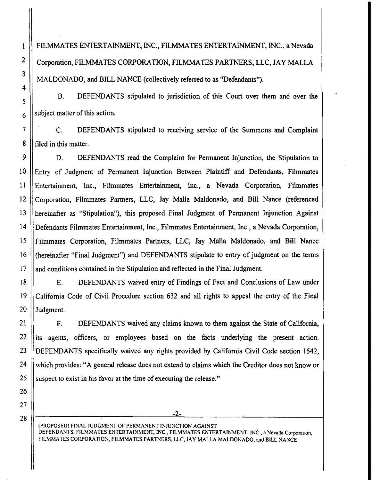FILMMATES ENTERTAINMENT, INC., FILMMATES ENTERTAINMENT, INC., a Nevada Corporation, FILMMATES CORPORATION, FILMMATES PARTNERS; LLC, JAY MALLA MALDONADO, and BILL NANCE (collectively referred to as "Defendants").

B. DEFENDANTS stipulated to jurisdiction of this Court over them and over the subject matter of this action.

C. DEFENDANTS stipulated to receiving service of the Summons and Complaint filed in this matter.

D. DEFENDANTS read the Complaint for Permanent Injunction, the Stipulation to Entry of Judgment of Permanent Injunction Between Plaintiff and Defendants, Filmmates Entertainment, Inc., Filmmates Entertainment, Inc., a Nevada Corporation, Filmmates Corporation, Filmmates Partners, LLC, Jay Malla Maldonado, and Bill Nance (referenced hereinafter as "Stipulation"), this proposed Final Judgment of Permanent Injunction Against Defendants Filmmates Entertainment, Inc., Filmmates Entertainment, Inc., a Nevada Corporation, Filmmates Corporation, Filmmates Partners, LLC, Jay Malla Maldonado, and Bill Nance hereinafter "Final Judgment") and DEFENDANTS stipulate to entry of judgment on the terms ( and conditions contained in the Stipulation and reflected in the Final Judgment.

E. DEFENDANTS waived entry of Findings of Fact and Conclusions of Law under California Code of Civil Procedure section 632 and all rights to appeal the entry of the Final Judgment.

F. DEFENDANTS waived any claims known to them against the State of California, ts agents, officers, or employees based on the facts underlying the present action. i DEFENDANTS specifically waived any rights provided by California Civil Code section 1542, which provides: "A general release does not extend to claims which the Creditor does not know or suspect to exist in his favor at the time of executing the release."

-2-

(PROPOSED) FINAL JUDGMENT OF PERMANENT INJUNCTION AGAINST DEFENDANTS, FILMMATES ENTERTAINMENT, INC., FILMMATES ENTERTAINMENT, INC., a Nevada Corporation, FILMMATES CORPORATION, FILMMATES PARTNERS, LLC, JAY MALLA MALDONADO, and BILL NANCE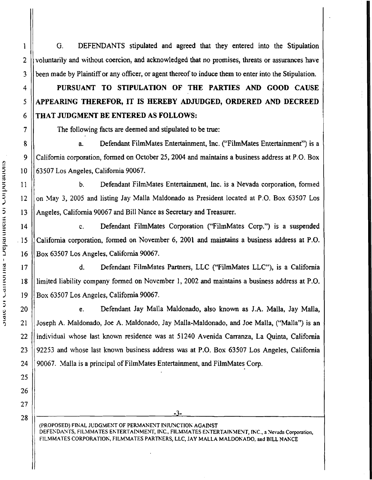G. DEFENDANTS stipulated and agreed that they entered into the Stipulation voluntarily and without coercion, and acknowledged that no promises, threats or assurances have been made by Plaintiff or any officer, or agent thereof to induce them to enter into the Stipulation.

## PURSUANT TO STIPULATION OF THE PARTIES AND GOOD CAUSE APPEARING THEREFOR, IT IS HEREBY ADJUDGED, ORDERED AND DECREED THAT JUDGMENT BE ENTERED AS FOLLOWS:

The following facts are deemed and stipulated to be true:

a. Defendant FilmMates Entertainment, Inc. ("'FilmMates Entertainment") is a California corporation, formed on October 25, 2004 and maintains a business address at P.O. Box 63507 Los Angeles, California 90067.

b. Defendant FilmMates Entertainment, Inc. is a Nevada corporation, formed on May 3, 2005 and listing Jay Malla Maldonado as President located at P.O. Box 63507 Los Angeles, California 90067 and Bill Nance as Secretary and Treasurer.

c. Defendant FilmMates Corporation ("FilmMates Corp.") is a suspended California corporation, formed on November 6, 2001 and maintains a business address at P.O. Box 63507 Los Angeles, California 90067.

d. Defendant FilmMates Partners, LLC ("FilmMates LLC"), is a California limited liability company formed on November 1, 2002 and maintains a business address at P.O. Box 63507 Los Angeles, California 90067.

e. Defendant Jay MalIa Maldonado, also known as J.A. Malia, Jay Malla, Joseph A. Maldonado, Joe A. Maldonado, Jay Malla-Maldonado, and Joe Malla, ("Malla") is an individual whose last known residence was at 51240 Avenida Carranza, La Quinta, California 92253 and whose last known business address was at P.O. Box 63507 Los Angeles, California 90067. Malla is a principal ofFilmMates Entertainment, and FilmMates Corp.

-3.

(PROPOSED) FINAL JUDGMENT OF PERMANENT INJUNCTION AGAINST DEFENDANTS, FILMMATES ENTERTAINMENT, INC., FILMMATES ENTERTAINMENT, INC., a Nevada Corporation, FILMMATES CORPORATION, FILMMATES PARTNERS, LLC, JAY MALLA MALDONADO, and BILL NANCE

1

2

3

4

5

6

7

8

9

 $10$ 

11

" 12

13

) 14

 $\cdot$ 15

16

0;\$ 17

18

19

l) 20 ..

21

22

23

24

25

26

27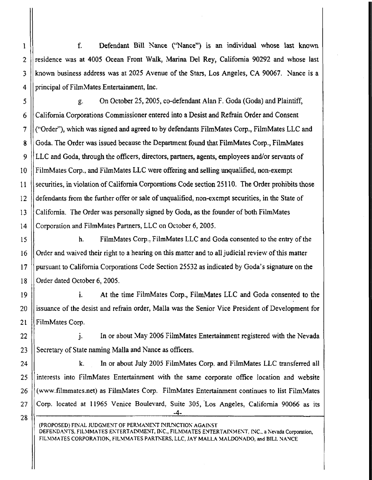f. Defendant Bill Nance ("Nance") is an individual whose last known residence was at 4005 Ocean Front Walk, Marina Del Rey, California 90292 and whose last known business address was at 2025 Avenue of the Stars, Los Angeles, CA 90067. Nance is a principal of FilmMates Entertainment, Inc.

g. On October25,2005, co-defendant Alan F. Goda (Goda) and Plaintiff, California Corporations Commissioner entered into a Desist and Refrain Order and Consent ("Order"), which was signed and agreed to by defendants FilmMates Corp., FilmMates LLC and Goda. The Order was issued because the Department found that FilmMates Corp., FilmMates LLC and Goda, through the officers, directors, partners, agents, employees and/or servants of FilmMates Corp., and FilmMates LLC were offering and selling unqualified, non-exempt securities, in violation of California Corporations Code section 25110. The Order prohibits those defendants from the further offer or sale of unqualified, non-exempt securities, in the State of California. The Order was personally signed by Goda, as the founder of both FilmMates Corporation and FilmMates Partners, LLC on October 6, 2005.

h. FilmMates Corp., FilmMates LLC and Goda consented to the entry of the Order and waived their right to a hearing on this matter and to all judicial review of this matter pursuant to California Corporations Code Section 25532 as indicated by Goda's signature on the Order dated October 6, 2005.

i, At the time FilmMates Corp., FilmMates LLC and Goda consented to the issuance of the desist and refrain order, MalIa was the Senior Vice President of Development for FilmMates Corp.

In or about May 2006 FilmMates Entertainment registered with the Nevada  $\mathbf{i}$ . Secretary of State naming Malla and Nance as officers.

k. In or about July 2005 FilmMates Corp. and FilmMates LLC transferred all interests into filmMates Entertainment with the same corporate office location and website (www.filmmates.net) as FilmMates Corp. FilmMates Entertainment continues to list FilmMates Corp. located at 11965 Venice Boulevard, Suite 305, Los Angeles, California 90066 as its -4-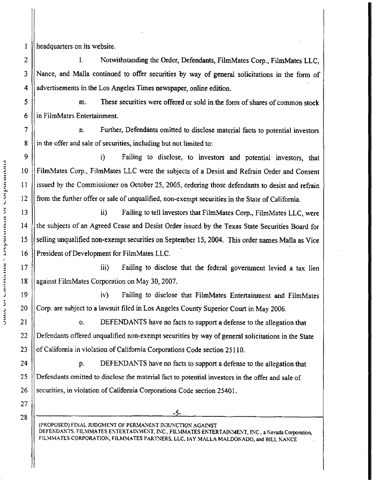headquarters on its website.

4 1. Notwithstanding the Order, Defendants, FilmMates Corp., FilmMates LLC, Nance, and Malia continued to offer securities by way of general solicitations in the form of advertisements in the Los Angeles Times newspaper, online edition.

5 6 m. These securities were offered or sold in the form of shares of common stock in FilmMates Entertainment.

n. Further, Defendants omitted to disclose material facts to potential investors in the offer and sale of securities, including but not limited to:

i) Failing to disclose, to investors and potential investors, that FilmMates Corp., FilmMates LLC were the subjects of a Desist and Refrain Order and Consent issued by the Commissioner on October25, 2005, ordering those defendants to desist and refrain from the further offer or sale of unqualified, non-exempt securities in the State of California.

ii) Failing to tell investors that FilmMates Corp., FilmMates LLC, were the subjects of an Agreed Cease and Desist Order issued by the Texas State Securities Board for selling unqualified non-exempt securities on September 15, 2004. This order names Malla as Vice President of Development for FilmMates LLC.

iii) Failing to disclose that the federal government levied a tax lien against FilmMates Corporation on May 30, 2007.

iv) Failing to disclose that FilmMates Entertainment and FilmMates Corp. are subject to a lawsuit filed in Los Angeles County Superior Court in May 2006.

o. DEFENDANTS have no facts to support a defense to the allegation that Defendants offered unqualified non-exempt securities by way of general solicitations in the State of California in violation of California Corporations Code section 25110.

p. DEFENDANTS have no facts to support a defense to the allegation that Defendants omitted to disclose the material fact to potential investors in the offer and sale of securities, in violation of California Corporations Code section 25401.

(PROPOSED) FINAL JUDGMENT OF PERMANENT INJUNCTION AGAINST DEFENDANTS, FILMMATES ENTERTAINMENT, INC., FILMMATES ENTERTAINMENT, INC., a Nevada Corporation, FILMMATES CORPORATION, FILMMATES PARTNERS, LLC, JAY MALLA MALDONADO, and BILL NANCE

-5-

2

 $\mathbf{1}$ 

3

7

8

 $10$ 

5 <sup>11</sup>

5, <sup>12</sup>

) 14

16

:i <sup>18</sup> -

") 19

) 20 ..

J 21

22

23

24

25

26

27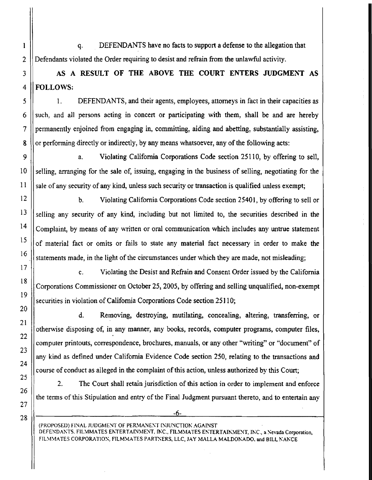q. DEFENDANTS have no facts to support a defense to the allegation that Defendants violated the Order requiring to desist and refrain from the unlawful activity.

AS A RESULT OF THE ABOVE THE COURT ENTERS JUDGMENT AS FOLLOWS:

1. DEFENDANTS, and their agents, employees,attorneys in fact in their capacities as such, and all persons acting in concert or participating with them, shall be and are hereby ermanently enjoined from engaging in, committing, aiding and abetting, substantially assisting, p or performing directly or indirectly, by any means whatsoever, any of the following acts:

a. Violating California Corporations Code section 25110, by offering to sell, selling, arranging for the sale of, issuing, engaging in the business of selling, negotiating for the sale of any security of any kind, unless such security or transaction is qualified unless exempt;

b. Violating California Corporations Code section 25401, by offering to sell or selling any security of any kind, including but not limited to, the securities described in the Complaint, by means of any written or oral communication which includes any untrue statement of material fact or omits or fails to state any material fact necessary in order to make the statements made, in the light of the circumstances under which they are made, not misleading;

c. Violating the Desist and Refrain and Consent Order issued by the California Corporations Commissioner on October 25, 2005, by offering and selling unqualified, non-exempt securities in violation of California Corporations Code section 25110;

d. Removing, destroying, mutilating, concealing, altering, transferring, or otherwise disposing of, in any manner, any books, records, computer programs, computer files, computer printouts, correspondence, brochures, manuals, or any other "writing" or "document" of ny kind as defined under California Evidence Code section 250, relating to the transactions and a course of conduct as alleged in the complaint of this action, unless authorized by this Court;

2. The Court shall retain jurisdiction of this action in order to implement and enforce the terms of this Stipulation and entry of the Final Judgment pursuant thereto, and to entertain any

(PROPOSED) FINAL JUDGMENT OF PERMANENT INJUNCTION AGAINST DEFENDANTS. FILMMATES ENTERTAINMENT, INC., FILMMATES ENTERTAINMENT, INC., a Nevada Corporation, FILMMATES CORPORATION, FILMMATES PARTNERS, LLC, JAY MALLA MALDONADO, and BILL NANCE

-6-